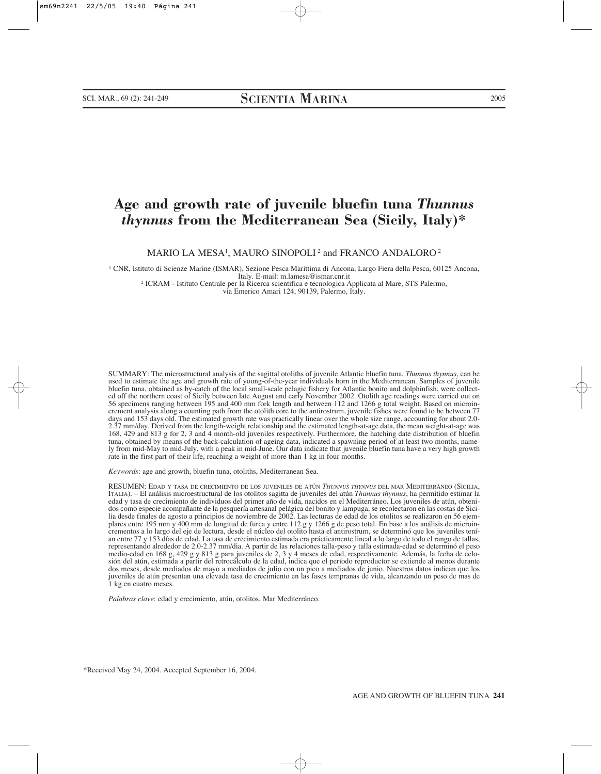# **Age and growth rate of juvenile bluefin tuna** *Thunnus thynnus* **from the Mediterranean Sea (Sicily, Italy)\***

MARIO LA MESA1 , MAURO SINOPOLI <sup>2</sup> and FRANCO ANDALORO <sup>2</sup>

<sup>1</sup> CNR, Istituto di Scienze Marine (ISMAR), Sezione Pesca Marittima di Ancona, Largo Fiera della Pesca, 60125 Ancona, Italy. E-mail: m.lamesa@ismar.cnr.it

<sup>2</sup> ICRAM - Istituto Centrale per la Ricerca scientifica e tecnologica Applicata al Mare, STS Palermo,

via Emerico Amari 124, 90139, Palermo, Italy.

SUMMARY: The microstructural analysis of the sagittal otoliths of juvenile Atlantic bluefin tuna, *Thunnus thynnus*, can be used to estimate the age and growth rate of young-of-the-year individuals born in the Mediterranean. Samples of juvenile bluefin tuna, obtained as by-catch of the local small-scale pelagic fishery for Atlantic bonito and dolphinfish, were collected off the northern coast of Sicily between late August and early November 2002. Otolith age readings were carried out on 56 specimens ranging between 195 and 400 mm fork length and between 112 and 1266 g total weight. Based on microincrement analysis along a counting path from the otolith core to the antirostrum, juvenile fishes were found to be between 77 days and 153 days old. The estimated growth rate was practically linear over the whole size range, accounting for about 2.0- 2.37 mm/day. Derived from the length-weight relationship and the estimated length-at-age data, the mean weight-at-age was 168, 429 and 813 g for 2, 3 and 4 month-old juveniles respectively. Furthermore, the hatching date distribution of bluefin tuna, obtained by means of the back-calculation of ageing data, indicated a spawning period of at least two months, namely from mid-May to mid-July, with a peak in mid-June. Our data indicate that juvenile bluefin tuna have a very high growth rate in the first part of their life, reaching a weight of more than 1 kg in four months.

*Keywords*: age and growth, bluefin tuna, otoliths, Mediterranean Sea.

RESUMEN: EDAD Y TASA DE CRECIMIENTO DE LOS JUVENILES DE ATÚN *THUNNUS THYNNUS* DEL MAR MEDITERRÁNEO (SICILIA, ITALIA). – El análisis microestructural de los otolitos sagitta de juveniles del atún *Thunnus thynnus*, ha permitido estimar la edad y tasa de crecimiento de individuos del primer año de vida, nacidos en el Mediterráneo. Los juveniles de atún, obtenidos como especie acompañante de la pesquería artesanal pelágica del bonito y lampuga, se recolectaron en las costas de Sicilia desde finales de agosto a principios de noviembre de 2002. Las lecturas de edad de los otolitos se realizaron en 56 ejemplares entre 195 mm y 400 mm de longitud de furca y entre 112 g y 1266 g de peso total. En base a los análisis de microincrementos a lo largo del eje de lectura, desde el núcleo del otolito hasta el antirostrum, se determinó que los juveniles tenían entre 77 y 153 días de edad. La tasa de crecimiento estimada era prácticamente lineal a lo largo de todo el rango de tallas, representando alrededor de 2.0-2.37 mm/dia. A partir de las relaciones talla-peso y talla estimada-edad se determinó el peso medio-edad en 168 g, 429 g y 813 g para juveniles de 2, 3 y 4 meses de edad, respectivamente. Además, la fecha de eclosión del atún, estimada a partir del retrocálculo de la edad, indica que el período reproductor se extiende al menos durante dos meses, desde mediados de mayo a mediados de julio con un pico a mediados de junio. Nuestros datos indican que los juveniles de atún presentan una elevada tasa de crecimiento en las fases tempranas de vida, alcanzando un peso de mas de 1 kg en cuatro meses.

*Palabras clave*: edad y crecimiento, atún, otolitos, Mar Mediterráneo.

\*Received May 24, 2004. Accepted September 16, 2004.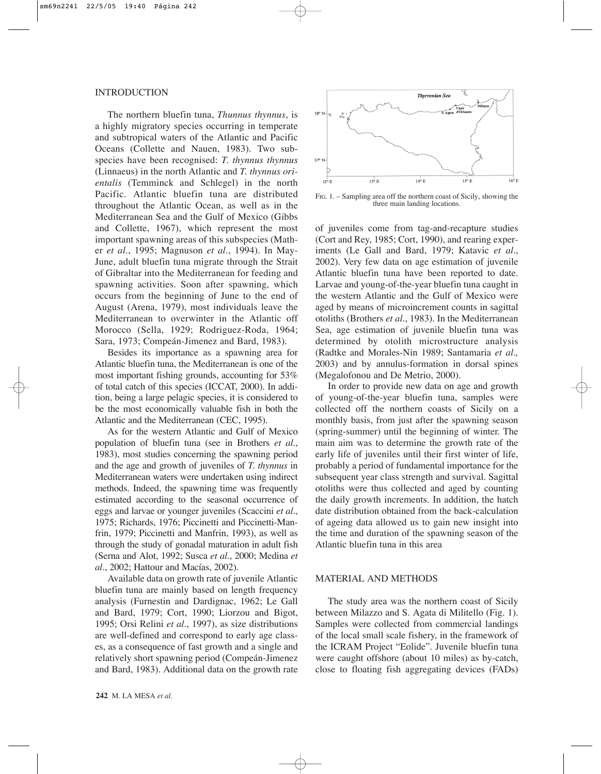# INTRODUCTION

The northern bluefin tuna, *Thunnus thynnus*, is a highly migratory species occurring in temperate and subtropical waters of the Atlantic and Pacific Oceans (Collette and Nauen, 1983). Two subspecies have been recognised: *T. thynnus thynnus* (Linnaeus) in the north Atlantic and *T. thynnus orientalis* (Temminck and Schlegel) in the north Pacific. Atlantic bluefin tuna are distributed throughout the Atlantic Ocean, as well as in the Mediterranean Sea and the Gulf of Mexico (Gibbs and Collette, 1967), which represent the most important spawning areas of this subspecies (Mather *et al*., 1995; Magnuson *et al*., 1994). In May-June, adult bluefin tuna migrate through the Strait of Gibraltar into the Mediterranean for feeding and spawning activities. Soon after spawning, which occurs from the beginning of June to the end of August (Arena, 1979), most individuals leave the Mediterranean to overwinter in the Atlantic off Morocco (Sella, 1929; Rodriguez-Roda, 1964; Sara, 1973; Compeán-Jimenez and Bard, 1983).

Besides its importance as a spawning area for Atlantic bluefin tuna, the Mediterranean is one of the most important fishing grounds, accounting for 53% of total catch of this species (ICCAT, 2000). In addition, being a large pelagic species, it is considered to be the most economically valuable fish in both the Atlantic and the Mediterranean (CEC, 1995).

As for the western Atlantic and Gulf of Mexico population of bluefin tuna (see in Brothers *et al*., 1983), most studies concerning the spawning period and the age and growth of juveniles of *T. thynnus* in Mediterranean waters were undertaken using indirect methods. Indeed, the spawning time was frequently estimated according to the seasonal occurrence of eggs and larvae or younger juveniles (Scaccini *et al*., 1975; Richards, 1976; Piccinetti and Piccinetti-Manfrin, 1979; Piccinetti and Manfrin, 1993), as well as through the study of gonadal maturation in adult fish (Serna and Alot, 1992; Susca *et al*., 2000; Medina *et al*., 2002; Hattour and Macías, 2002).

Available data on growth rate of juvenile Atlantic bluefin tuna are mainly based on length frequency analysis (Furnestin and Dardignac, 1962; Le Gall and Bard, 1979; Cort, 1990; Liorzou and Bigot, 1995; Orsi Relini *et al*., 1997), as size distributions are well-defined and correspond to early age classes, as a consequence of fast growth and a single and relatively short spawning period (Compeán-Jimenez and Bard, 1983). Additional data on the growth rate



FIG. 1. – Sampling area off the northern coast of Sicily, showing the three main landing locations.

of juveniles come from tag-and-recapture studies (Cort and Rey, 1985; Cort, 1990), and rearing experiments (Le Gall and Bard, 1979; Katavic *et al*., 2002). Very few data on age estimation of juvenile Atlantic bluefin tuna have been reported to date. Larvae and young-of-the-year bluefin tuna caught in the western Atlantic and the Gulf of Mexico were aged by means of microincrement counts in sagittal otoliths (Brothers *et al*., 1983). In the Mediterranean Sea, age estimation of juvenile bluefin tuna was determined by otolith microstructure analysis (Radtke and Morales-Nin 1989; Santamaria *et al.,* 2003) and by annulus-formation in dorsal spines (Megalofonou and De Metrio, 2000).

In order to provide new data on age and growth of young-of-the-year bluefin tuna, samples were collected off the northern coasts of Sicily on a monthly basis, from just after the spawning season (spring-summer) until the beginning of winter. The main aim was to determine the growth rate of the early life of juveniles until their first winter of life, probably a period of fundamental importance for the subsequent year class strength and survival. Sagittal otoliths were thus collected and aged by counting the daily growth increments. In addition, the hatch date distribution obtained from the back-calculation of ageing data allowed us to gain new insight into the time and duration of the spawning season of the Atlantic bluefin tuna in this area

# MATERIAL AND METHODS

The study area was the northern coast of Sicily between Milazzo and S. Agata di Militello (Fig. 1). Samples were collected from commercial landings of the local small scale fishery, in the framework of the ICRAM Project "Eolide". Juvenile bluefin tuna were caught offshore (about 10 miles) as by-catch, close to floating fish aggregating devices (FADs)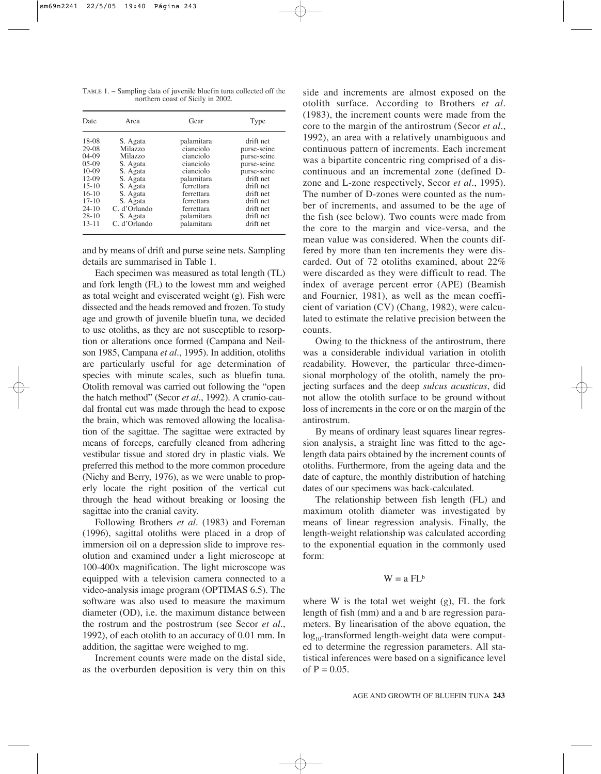TABLE 1. – Sampling data of juvenile bluefin tuna collected off the northern coast of Sicily in 2002.

| Date        | Area         | Gear       | Type        |
|-------------|--------------|------------|-------------|
| 18-08       | S. Agata     | palamitara | drift net   |
| 29-08       | Milazzo      | cianciolo  | purse-seine |
| $04-09$     | Milazzo      | cianciolo  | purse-seine |
| $0.5 - 0.9$ | S. Agata     | cianciolo  | purse-seine |
| $10-09$     | S. Agata     | cianciolo  | purse-seine |
| $12-09$     | S. Agata     | palamitara | drift net   |
| $15-10$     | S. Agata     | ferrettara | drift net   |
| $16-10$     | S. Agata     | ferrettara | drift net   |
| $17-10$     | S. Agata     | ferrettara | drift net   |
| $24-10$     | C. d'Orlando | ferrettara | drift net   |
| $28-10$     | S. Agata     | palamitara | drift net   |
| $13 - 11$   | C. d'Orlando | palamitara | drift net   |

and by means of drift and purse seine nets. Sampling details are summarised in Table 1.

Each specimen was measured as total length (TL) and fork length (FL) to the lowest mm and weighed as total weight and eviscerated weight (g). Fish were dissected and the heads removed and frozen. To study age and growth of juvenile bluefin tuna, we decided to use otoliths, as they are not susceptible to resorption or alterations once formed (Campana and Neilson 1985, Campana *et al.*, 1995). In addition, otoliths are particularly useful for age determination of species with minute scales, such as bluefin tuna. Otolith removal was carried out following the "open the hatch method" (Secor *et al*., 1992). A cranio-caudal frontal cut was made through the head to expose the brain, which was removed allowing the localisation of the sagittae. The sagittae were extracted by means of forceps, carefully cleaned from adhering vestibular tissue and stored dry in plastic vials. We preferred this method to the more common procedure (Nichy and Berry, 1976), as we were unable to properly locate the right position of the vertical cut through the head without breaking or loosing the sagittae into the cranial cavity.

Following Brothers *et al*. (1983) and Foreman (1996), sagittal otoliths were placed in a drop of immersion oil on a depression slide to improve resolution and examined under a light microscope at 100-400x magnification. The light microscope was equipped with a television camera connected to a video-analysis image program (OPTIMAS 6.5). The software was also used to measure the maximum diameter (OD), i.e. the maximum distance between the rostrum and the postrostrum (see Secor *et al*., 1992), of each otolith to an accuracy of 0.01 mm. In addition, the sagittae were weighed to mg.

Increment counts were made on the distal side, as the overburden deposition is very thin on this side and increments are almost exposed on the otolith surface. According to Brothers *et al*. (1983), the increment counts were made from the core to the margin of the antirostrum (Secor *et al*., 1992), an area with a relatively unambiguous and continuous pattern of increments. Each increment was a bipartite concentric ring comprised of a discontinuous and an incremental zone (defined Dzone and L-zone respectively, Secor *et al*., 1995). The number of D-zones were counted as the number of increments, and assumed to be the age of the fish (see below). Two counts were made from the core to the margin and vice-versa, and the mean value was considered. When the counts differed by more than ten increments they were discarded. Out of 72 otoliths examined, about 22% were discarded as they were difficult to read. The index of average percent error (APE) (Beamish and Fournier, 1981), as well as the mean coefficient of variation (CV) (Chang, 1982), were calculated to estimate the relative precision between the counts.

Owing to the thickness of the antirostrum, there was a considerable individual variation in otolith readability. However, the particular three-dimensional morphology of the otolith, namely the projecting surfaces and the deep *sulcus acusticus*, did not allow the otolith surface to be ground without loss of increments in the core or on the margin of the antirostrum.

By means of ordinary least squares linear regression analysis, a straight line was fitted to the agelength data pairs obtained by the increment counts of otoliths. Furthermore, from the ageing data and the date of capture, the monthly distribution of hatching dates of our specimens was back-calculated.

The relationship between fish length (FL) and maximum otolith diameter was investigated by means of linear regression analysis. Finally, the length-weight relationship was calculated according to the exponential equation in the commonly used form:

# $W = a FL<sup>b</sup>$

where W is the total wet weight (g), FL the fork length of fish (mm) and a and b are regression parameters. By linearisation of the above equation, the  $log_{10}$ -transformed length-weight data were computed to determine the regression parameters. All statistical inferences were based on a significance level of  $P = 0.05$ .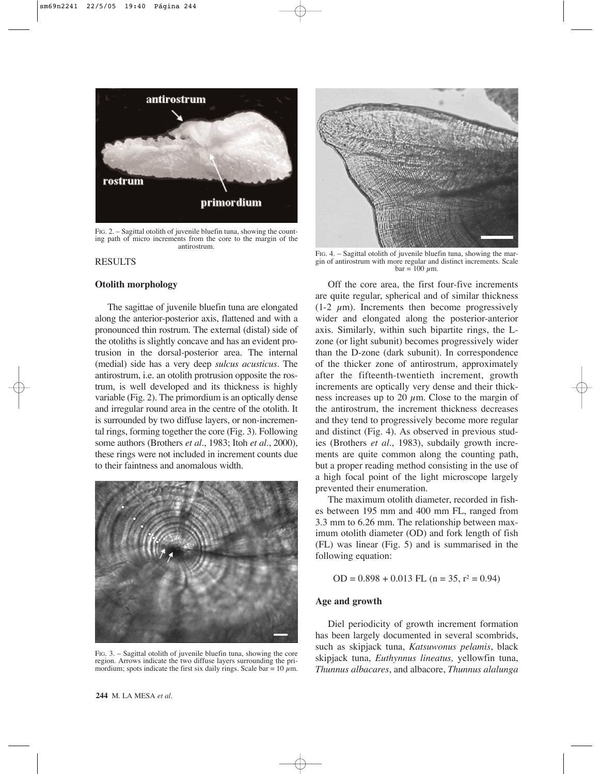

FIG. 2. – Sagittal otolith of juvenile bluefin tuna, showing the counting path of micro increments from the core to the margin of the antirostrum.

#### RESULTS

#### **Otolith morphology**

The sagittae of juvenile bluefin tuna are elongated along the anterior-posterior axis, flattened and with a pronounced thin rostrum. The external (distal) side of the otoliths is slightly concave and has an evident protrusion in the dorsal-posterior area. The internal (medial) side has a very deep *sulcus acusticus*. The antirostrum, i.e. an otolith protrusion opposite the rostrum, is well developed and its thickness is highly variable (Fig. 2). The primordium is an optically dense and irregular round area in the centre of the otolith. It is surrounded by two diffuse layers, or non-incremental rings, forming together the core (Fig. 3). Following some authors (Brothers *et al*., 1983; Itoh *et al.*, 2000), these rings were not included in increment counts due to their faintness and anomalous width.



FIG. 3. – Sagittal otolith of juvenile bluefin tuna, showing the core region. Arrows indicate the two diffuse layers surrounding the primordium; spots indicate the first six daily rings. Scale bar =  $10 \mu$ m.



FIG. 4. – Sagittal otolith of juvenile bluefin tuna, showing the margin of antirostrum with more regular and distinct increments. Scale  $bar = 100$  um.

Off the core area, the first four-five increments are quite regular, spherical and of similar thickness  $(1-2 \mu m)$ . Increments then become progressively wider and elongated along the posterior-anterior axis. Similarly, within such bipartite rings, the Lzone (or light subunit) becomes progressively wider than the D-zone (dark subunit). In correspondence of the thicker zone of antirostrum, approximately after the fifteenth-twentieth increment, growth increments are optically very dense and their thickness increases up to 20  $\mu$ m. Close to the margin of the antirostrum, the increment thickness decreases and they tend to progressively become more regular and distinct (Fig. 4). As observed in previous studies (Brothers *et al.*, 1983), subdaily growth increments are quite common along the counting path, but a proper reading method consisting in the use of a high focal point of the light microscope largely prevented their enumeration.

The maximum otolith diameter, recorded in fishes between 195 mm and 400 mm FL, ranged from 3.3 mm to 6.26 mm. The relationship between maximum otolith diameter (OD) and fork length of fish (FL) was linear (Fig. 5) and is summarised in the following equation:

OD =  $0.898 + 0.013$  FL (n =  $35$ , r<sup>2</sup> = 0.94)

#### **Age and growth**

Diel periodicity of growth increment formation has been largely documented in several scombrids, such as skipjack tuna, *Katsuwonus pelamis*, black skipjack tuna, *Euthynnus lineatus,* yellowfin tuna, *Thunnus albacares*, and albacore, *Thunnus alalunga*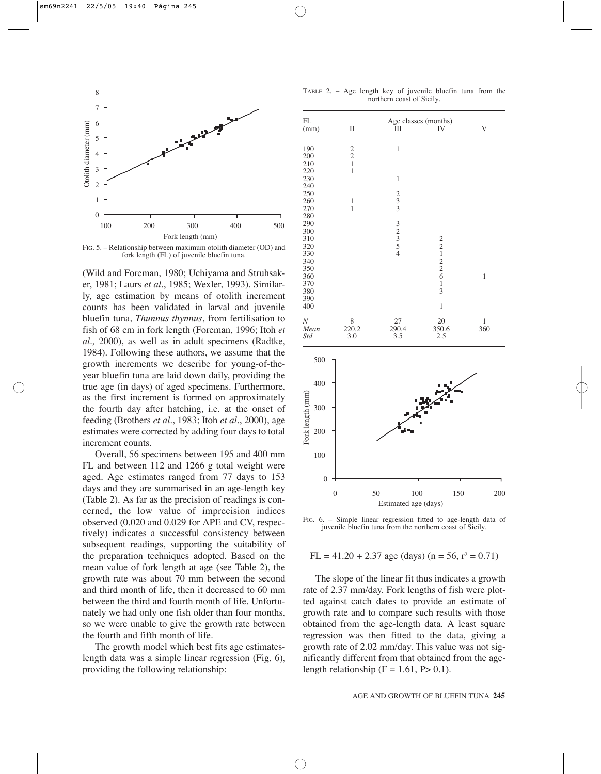

FIG. 5. – Relationship between maximum otolith diameter (OD) and fork length (FL) of juvenile bluefin tuna.

(Wild and Foreman, 1980; Uchiyama and Struhsaker, 1981; Laurs *et al*., 1985; Wexler, 1993). Similarly, age estimation by means of otolith increment counts has been validated in larval and juvenile bluefin tuna, *Thunnus thynnus*, from fertilisation to fish of 68 cm in fork length (Foreman, 1996; Itoh *et al.,* 2000), as well as in adult specimens (Radtke, 1984). Following these authors, we assume that the growth increments we describe for young-of-theyear bluefin tuna are laid down daily, providing the true age (in days) of aged specimens. Furthermore, as the first increment is formed on approximately the fourth day after hatching, i.e. at the onset of feeding (Brothers *et al.*, 1983; Itoh *et al.*, 2000), age estimates were corrected by adding four days to total increment counts.

Overall, 56 specimens between 195 and 400 mm FL and between 112 and 1266 g total weight were aged. Age estimates ranged from 77 days to 153 days and they are summarised in an age-length key (Table 2). As far as the precision of readings is concerned, the low value of imprecision indices observed (0.020 and 0.029 for APE and CV, respectively) indicates a successful consistency between subsequent readings, supporting the suitability of the preparation techniques adopted. Based on the mean value of fork length at age (see Table 2), the growth rate was about 70 mm between the second and third month of life, then it decreased to 60 mm between the third and fourth month of life. Unfortunately we had only one fish older than four months, so we were unable to give the growth rate between the fourth and fifth month of life.

The growth model which best fits age estimateslength data was a simple linear regression (Fig. 6), providing the following relationship:

TABLE 2. – Age length key of juvenile bluefin tuna from the northern coast of Sicily.

| $\mathbf{FL}$<br>(mm)                                                                                        |                  |                  | $\mathop{\rm II}\nolimits$                      | Ш                                               | Age classes (months)<br>IV                        | $\ensuremath{\mathbf{V}}$ |
|--------------------------------------------------------------------------------------------------------------|------------------|------------------|-------------------------------------------------|-------------------------------------------------|---------------------------------------------------|---------------------------|
| 190<br>200<br>210<br>220                                                                                     |                  |                  | $\begin{array}{c} 2 \\ 2 \\ 1 \\ 1 \end{array}$ | $\mathbf{1}$                                    |                                                   |                           |
| 230<br>240                                                                                                   |                  |                  |                                                 | $\,1$                                           |                                                   |                           |
| 250<br>260<br>270<br>280<br>290<br>300<br>310<br>320<br>330<br>340<br>350<br>360<br>370<br>380<br>390<br>400 |                  |                  | $\,1\,$<br>$\mathbf{1}$                         | $\frac{2}{3}$                                   |                                                   |                           |
|                                                                                                              |                  |                  |                                                 | $\frac{3}{2}$<br>$\frac{2}{5}$<br>$\frac{5}{4}$ |                                                   |                           |
|                                                                                                              |                  |                  |                                                 |                                                 | $22122$<br>$226$<br>$\,1\,$<br>$\overline{3}$     | $\,1\,$                   |
|                                                                                                              |                  |                  |                                                 |                                                 | $\mathbf{1}$                                      |                           |
| $\boldsymbol{N}$<br>Mean<br>Std                                                                              |                  |                  | $\frac{8}{220.2}$<br>3.0                        | $\frac{27}{290.4}$                              | $\begin{array}{c} 20 \\ 350.6 \\ 2.5 \end{array}$ | $\frac{1}{360}$           |
| Fork length (mm)                                                                                             | 500              |                  |                                                 |                                                 |                                                   |                           |
|                                                                                                              | 400              |                  |                                                 |                                                 |                                                   | ١ō.                       |
|                                                                                                              | 300              |                  |                                                 |                                                 |                                                   |                           |
|                                                                                                              | 200              |                  |                                                 |                                                 |                                                   |                           |
|                                                                                                              | 100              |                  |                                                 |                                                 |                                                   |                           |
|                                                                                                              | $\boldsymbol{0}$ |                  |                                                 | Т                                               |                                                   | Τ                         |
|                                                                                                              |                  | $\boldsymbol{0}$ |                                                 | 50<br>Estimated age (days)                      | 100<br>150                                        | 200                       |

FIG. 6. – Simple linear regression fitted to age-length data of juvenile bluefin tuna from the northern coast of Sicily.

 $FL = 41.20 + 2.37$  age (days) (n = 56, r<sup>2</sup> = 0.71)

The slope of the linear fit thus indicates a growth rate of 2.37 mm/day. Fork lengths of fish were plotted against catch dates to provide an estimate of growth rate and to compare such results with those obtained from the age-length data. A least square regression was then fitted to the data, giving a growth rate of 2.02 mm/day. This value was not significantly different from that obtained from the agelength relationship  $(F = 1.61, P > 0.1)$ .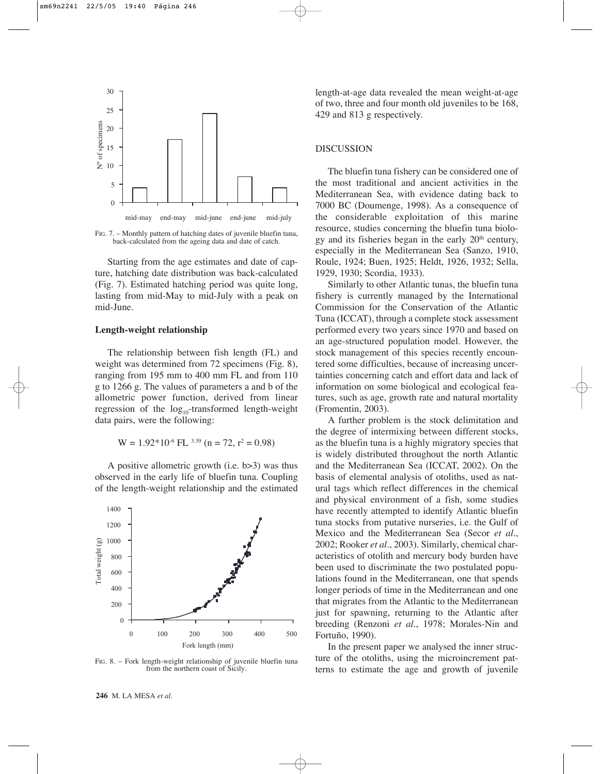

FIG. 7. – Monthly pattern of hatching dates of juvenile bluefin tuna, back-calculated from the ageing data and date of catch.

Starting from the age estimates and date of capture, hatching date distribution was back-calculated (Fig. 7). Estimated hatching period was quite long, lasting from mid-May to mid-July with a peak on mid-June.

## **Length-weight relationship**

The relationship between fish length (FL) and weight was determined from 72 specimens (Fig. 8), ranging from 195 mm to 400 mm FL and from 110 g to 1266 g. The values of parameters a and b of the allometric power function, derived from linear regression of the  $log_{10}$ -transformed length-weight data pairs, were the following:

$$
W = 1.92*10-6 FL3.39 (n = 72, r2 = 0.98)
$$

A positive allometric growth (i.e. b>3) was thus observed in the early life of bluefin tuna. Coupling of the length-weight relationship and the estimated



FIG. 8. – Fork length-weight relationship of juvenile bluefin tuna from the northern coast of Sicily.

length-at-age data revealed the mean weight-at-age of two, three and four month old juveniles to be 168, 429 and 813 g respectively.

#### DISCUSSION

The bluefin tuna fishery can be considered one of the most traditional and ancient activities in the Mediterranean Sea, with evidence dating back to 7000 BC (Doumenge, 1998). As a consequence of the considerable exploitation of this marine resource, studies concerning the bluefin tuna biology and its fisheries began in the early  $20<sup>th</sup>$  century, especially in the Mediterranean Sea (Sanzo, 1910, Roule, 1924; Buen, 1925; Heldt, 1926, 1932; Sella, 1929, 1930; Scordia, 1933).

Similarly to other Atlantic tunas, the bluefin tuna fishery is currently managed by the International Commission for the Conservation of the Atlantic Tuna (ICCAT), through a complete stock assessment performed every two years since 1970 and based on an age-structured population model. However, the stock management of this species recently encountered some difficulties, because of increasing uncertainties concerning catch and effort data and lack of information on some biological and ecological features, such as age, growth rate and natural mortality (Fromentin, 2003).

A further problem is the stock delimitation and the degree of intermixing between different stocks, as the bluefin tuna is a highly migratory species that is widely distributed throughout the north Atlantic and the Mediterranean Sea (ICCAT, 2002). On the basis of elemental analysis of otoliths, used as natural tags which reflect differences in the chemical and physical environment of a fish, some studies have recently attempted to identify Atlantic bluefin tuna stocks from putative nurseries, i.e. the Gulf of Mexico and the Mediterranean Sea (Secor *et al.*, 2002; Rooker *et al.*, 2003). Similarly, chemical characteristics of otolith and mercury body burden have been used to discriminate the two postulated populations found in the Mediterranean, one that spends longer periods of time in the Mediterranean and one that migrates from the Atlantic to the Mediterranean just for spawning, returning to the Atlantic after breeding (Renzoni *et al.*, 1978; Morales-Nin and Fortuño, 1990).

In the present paper we analysed the inner structure of the otoliths, using the microincrement patterns to estimate the age and growth of juvenile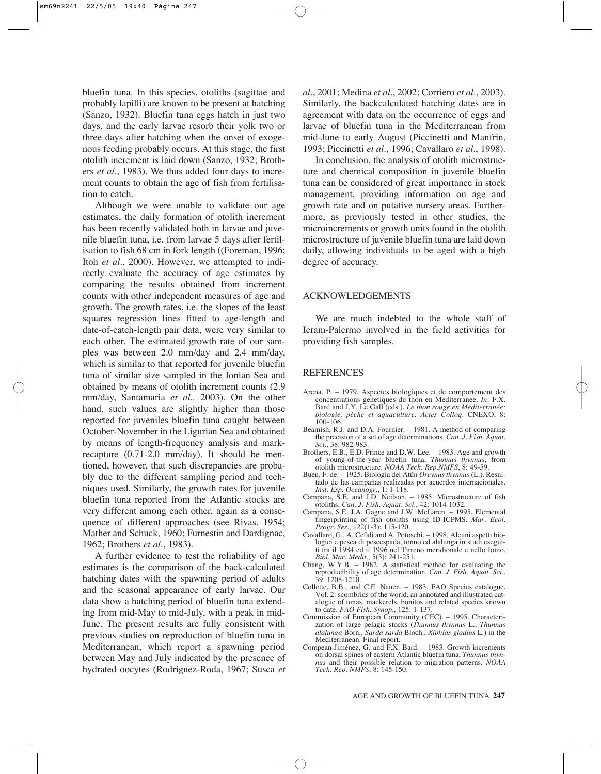bluefin tuna. In this species, otoliths (sagittae and probably lapilli) are known to be present at hatching (Sanzo, 1932). Bluefin tuna eggs hatch in just two days, and the early larvae resorb their yolk two or three days after hatching when the onset of exogenous feeding probably occurs. At this stage, the first otolith increment is laid down (Sanzo, 1932; Brothers *et al.*, 1983). We thus added four days to increment counts to obtain the age of fish from fertilisation to catch.

Although we were unable to validate our age estimates, the daily formation of otolith increment has been recently validated both in larvae and juvenile bluefin tuna, i.e. from larvae 5 days after fertilisation to fish 68 cm in fork length ((Foreman, 1996; Itoh *et al.,* 2000). However, we attempted to indirectly evaluate the accuracy of age estimates by comparing the results obtained from increment counts with other independent measures of age and growth. The growth rates, i.e. the slopes of the least squares regression lines fitted to age-length and date-of-catch-length pair data, were very similar to each other. The estimated growth rate of our samples was between 2.0 mm/day and 2.4 mm/day, which is similar to that reported for juvenile bluefin tuna of similar size sampled in the Ionian Sea and obtained by means of otolith increment counts (2.9 mm/day, Santamaria *et al.,* 2003). On the other hand, such values are slightly higher than those reported for juveniles bluefin tuna caught between October-November in the Ligurian Sea and obtained by means of length-frequency analysis and markrecapture (0.71-2.0 mm/day). It should be mentioned, however, that such discrepancies are probably due to the different sampling period and techniques used. Similarly, the growth rates for juvenile bluefin tuna reported from the Atlantic stocks are very different among each other, again as a consequence of different approaches (see Rivas, 1954; Mather and Schuck, 1960; Furnestin and Dardignac, 1962; Brothers *et al.*, 1983).

A further evidence to test the reliability of age estimates is the comparison of the back-calculated hatching dates with the spawning period of adults and the seasonal appearance of early larvae. Our data show a hatching period of bluefin tuna extending from mid-May to mid-July, with a peak in mid-June. The present results are fully consistent with previous studies on reproduction of bluefin tuna in Mediterranean, which report a spawning period between May and July indicated by the presence of hydrated oocytes (Rodriguez-Roda, 1967; Susca *et* *al.*, 2001; Medina *et al.*, 2002; Corriero *et al.*, 2003). Similarly, the backcalculated hatching dates are in agreement with data on the occurrence of eggs and larvae of bluefin tuna in the Mediterranean from mid-June to early August (Piccinetti and Manfrin, 1993; Piccinetti *et al.*, 1996; Cavallaro *et al.*, 1998).

In conclusion, the analysis of otolith microstructure and chemical composition in juvenile bluefin tuna can be considered of great importance in stock management, providing information on age and growth rate and on putative nursery areas. Furthermore, as previously tested in other studies, the microincrements or growth units found in the otolith microstructure of juvenile bluefin tuna are laid down daily, allowing individuals to be aged with a high degree of accuracy.

# ACKNOWLEDGEMENTS

We are much indebted to the whole staff of Icram-Palermo involved in the field activities for providing fish samples.

#### REFERENCES

- Arena, P. 1979. Aspectes biologiques et de comportement des concentrations genetiques du thon en Mediterranee. *In*: F.X. Bard and J.Y. Le Gall (eds.), *Le thon rouge en Méditerranée: biologie, pêche et aquaculture*. *Actes Colloq.* CNEXO, 8: 100-106.
- Beamish, R.J. and D.A. Fournier. 1981. A method of comparing the precision of a set of age determinations. *Can. J. Fish. Aquat. Sci.*, 38: 982-983.
- Brothers, E.B., E.D. Prince and D.W. Lee. 1983. Age and growth of young-of-the-year bluefin tuna, *Thunnus thynnus*, from otolith microstructure. *NOAA Tech. Rep.NMFS*, 8: 49-59.
- Buen, F. de. 1925. Biologia del Atún *Orcynus thynnus* (L.). Resultado de las campañas realizadas por acuerdos internacionales. *Inst. Esp. Oceanogr.*, 1: 1-118.
- Campana, S.E. and J.D. Neilson. 1985. Microstructure of fish otoliths. *Can. J. Fish. Aquat. Sci.*, 42: 1014-1032.
- Campana, S.E. J.A. Gagne and J.W. McLaren. 1995. Elemental fingerprinting of fish otoliths using ID-ICPMS. *Mar. Ecol. Progr. Ser.*, 122(1-3): 115-120.
- Cavallaro, G., A. Cefali and A. Potoschi. 1998. Alcuni aspetti biologici e pesca di pescespada, tonno ed alalunga in studi eseguiti tra il 1984 ed il 1996 nel Tirreno meridionale e nello Ionio. *Biol. Mar. Medit.*, 5(3): 241-251.
- Chang, W.Y.B. 1982. A statistical method for evaluating the reproducibility of age determination. *Can. J. Fish. Aquat. Sci.*, 39: 1208-1210.
- Collette, B.B., and C.E. Nauen. 1983. FAO Species catalogue, Vol. 2: scombrids of the world, an annotated and illustrated catalogue of tunas, mackerels, bonitos and related species known to date. *FAO Fish. Synop.*, 125: 1-137.
- Commission of European Community (CEC). 1995. Characterization of large pelagic stocks (*Thunnus thynnus* L., *Thunnus alalunga* Born., *Sarda sarda* Bloch., *Xiphias gladius* L.) in the Mediterranean. Final report.
- Compean-Jiménez, G. and F.X. Bard. 1983. Growth increments on dorsal spines of eastern Atlantic bluefin tuna, *Thunnus thynnus* and their possible relation to migration patterns. *NOAA Tech. Rep. NMFS*, 8: 145-150.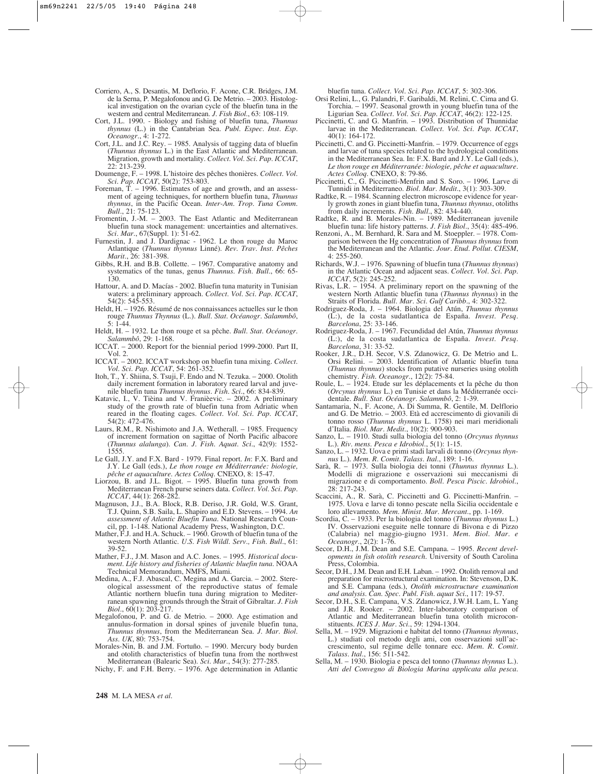- Corriero, A., S. Desantis, M. Deflorio, F. Acone, C.R. Bridges, J.M. de la Serna, P. Megalofonou and G. De Metrio. – 2003. Histological investigation on the ovarian cycle of the bluefin tuna in the western and central Mediterranean. *J. Fish Biol.*, 63: 108-119.
- Cort, J.L. 1990. Biology and fishing of bluefin tuna, *Thunnus thynnus* (L.) in the Cantabrian Sea. *Publ. Espec. Inst. Esp. Oceanogr.*, 4: 1-272.
- Cort, J.L. and J.C. Rey. 1985. Analysis of tagging data of bluefin (*Thunnus thynnus* L.) in the East Atlantic and Mediterranean. Migration, growth and mortality. *Collect. Vol. Sci. Pap. ICCAT*, 22: 213-239.
- Doumenge, F. 1998. L'histoire des pêches thonières. *Collect. Vol. Sci. Pap. ICCAT*, 50(2): 753-803.
- Foreman, T. 1996. Estimates of age and growth, and an assessment of ageing techniques, for northern bluefin tuna, *Thunnus thynnus*, in the Pacific Ocean. *Inter-Am. Trop. Tuna Comm. Bull.*, 21: 75-123.
- Fromentin, J.-M. 2003. The East Atlantic and Mediterranean bluefin tuna stock management: uncertainties and alternatives. *Sci. Mar.*, 67(Suppl. 1): 51-62.
- Furnestin, J. and J. Dardignac 1962. Le thon rouge du Maroc Atlantique (*Thunnus thynnus* Linné). *Rev. Trav. Inst. Pêches Marit.*, 26: 381-398.
- Gibbs, R.H. and B.B. Collette. 1967. Comparative anatomy and systematics of the tunas, genus *Thunnus*. *Fish. Bull.*, 66: 65- 130.
- Hattour, A. and D. Macías 2002. Bluefin tuna maturity in Tunisian waters: a preliminary approach. *Collect. Vol. Sci. Pap. ICCAT*, 54(2): 545-553.
- Heldt, H. 1926. Résumé de nos connaissances actuelles sur le thon rouge *Thunnus Thynnus* (L.). *Bull. Stat. Océanogr. Salammbô*, 5: 1-44.
- Heldt, H. 1932. Le thon rouge et sa pêche. *Bull. Stat. Océanogr. Salammbô*, 29: 1-168.
- ICCAT. 2000. Report for the biennial period 1999-2000. Part II, Vol. 2.
- ICCAT. 2002. ICCAT workshop on bluefin tuna mixing. *Collect. Vol. Sci. Pap. ICCAT*, 54: 261-352.
- Itoh, T., Y. Shiina, S. Tsuji, F. Endo and N. Tezuka. 2000. Otolith daily increment formation in laboratory reared larval and juvenile bluefin tuna *Thunnus thynnus*. *Fish. Sci*., 66: 834-839.
- Katavic, I., V. Tièina and V. Franièevic. 2002. A preliminary study of the growth rate of bluefin tuna from Adriatic when reared in the floating cages. *Collect. Vol. Sci. Pap. ICCAT*, 54(2): 472-476.
- Laurs, R.M., R. Nishimoto and J.A. Wetherall. 1985. Frequency of increment formation on sagittae of North Pacific albacore (*Thunnus alalunga*). *Can. J. Fish. Aquat. Sci.*, 42(9): 1552- 1555.
- Le Gall, J.Y. and F.X. Bard 1979. Final report. *In*: F.X. Bard and J.Y. Le Gall (eds.), *Le thon rouge en Méditerranée: biologie, pêche et aquaculture*. *Actes Colloq.* CNEXO, 8: 15-47.
- Liorzou, B. and J.L. Bigot. 1995. Bluefin tuna growth from Mediterranean French purse seiners data. *Collect. Vol. Sci. Pap. ICCAT*, 44(1): 268-282.
- Magnuson, J.J., B.A. Block, R.B. Deriso, J.R. Gold, W.S. Grant, T.J. Quinn, S.B. Saila, L. Shapiro and E.D. Stevens. – 1994. *An assessment of Atlantic Bluefin Tuna*. National Research Council, pp. 1-148. National Academy Press, Washington, D.C.
- Mather, F.J. and H.A. Schuck. 1960. Growth of bluefin tuna of the western North Atlantic. *U.S. Fish Wildl. Serv., Fish. Bull.*, 61: 39-52.
- Mather, F.J., J.M. Mason and A.C. Jones. 1995. *Historical document. Life history and fisheries of Atlantic bluefin tuna*. NOAA Technical Memorandum, NMFS, Miami.
- Medina, A., F.J. Abascal, C. Megina and A. Garcia. 2002. Stereological assessment of the reproductive status of female Atlantic northern bluefin tuna during migration to Mediterranean spawning grounds through the Strait of Gibraltar. *J. Fish Biol.*, 60(1): 203-217.
- Megalofonou, P. and G. de Metrio. 2000. Age estimation and annulus-formation in dorsal spines of juvenile bluefin tuna, *Thunnus thynnus*, from the Mediterranean Sea. *J. Mar. Biol. Ass. UK*, 80: 753-754.
- Morales-Nin, B. and J.M. Fortuño. 1990. Mercury body burden and otolith characteristics of bluefin tuna from the northwest Mediterranean (Balearic Sea). *Sci. Mar*., 54(3): 277-285.

Nichy, F. and F.H. Berry. – 1976. Age determination in Atlantic

bluefin tuna. *Collect. Vol. Sci. Pap. ICCAT*, 5: 302-306.

- Orsi Relini, L., G. Palandri, F. Garibaldi, M. Relini, C. Cima and G. Torchia. – 1997. Seasonal growth in young bluefin tuna of the Ligurian Sea. *Collect. Vol. Sci. Pap. ICCAT*, 46(2): 122-125.
- Piccinetti, C. and G. Manfrin. 1993. Distribution of Thunnidae larvae in the Mediterranean. *Collect. Vol. Sci. Pap. ICCAT*, 40(1): 164-172.
- Piccinetti, C. and G. Piccinetti-Manfrin. 1979. Occurrence of eggs and larvae of tuna species related to the hydrological conditions in the Mediterranean Sea. In: F.X. Bard and J.Y. Le Gall (eds.), *Le thon rouge en Méditerranée: biologie, pêche et aquaculture*. *Actes Colloq.* CNEXO, 8: 79-86.
- Piccinetti, C., G. Piccinetti-Menfrin and S. Soro. 1996. Larve di Tunnidi in Mediterraneo. *Biol. Mar. Medit.*, 3(1): 303-309.
- Radtke, R. 1984. Scanning electron microscope evidence for yearly growth zones in giant bluefin tuna, *Thunnus thynnus*, otoliths from daily increments. *Fish. Bull*., 82: 434-440.
- Radtke, R. and B. Morales-Nin. 1989. Mediterranean juvenile bluefin tuna: life history patterns. *J. Fish Biol.*, 35(4): 485-496.
- Renzoni, A., M. Bernhard, R. Sara and M. Stoeppler. 1978. Comparison between the Hg concentration of *Thunnus thynnus* from the Mediterranean and the Atlantic. *Jour. Etud. Pollut. CIESM*, 4: 255-260.
- Richards, W.J. 1976. Spawning of bluefin tuna (*Thunnus thynnus*) in the Atlantic Ocean and adjacent seas. *Collect. Vol. Sci. Pap. ICCAT*, 5(2): 245-252.
- Rivas, L.R. 1954. A preliminary report on the spawning of the western North Atlantic bluefin tuna (*Thunnus thynnus*) in the Straits of Florida. *Bull. Mar. Sci. Gulf Caribb.*, 4: 302-322.
- Rodriguez-Roda, J. 1964. Biologia del Atún, *Thunnus thynnus* (L:), de la costa sudatlantica de España. *Invest. Pesq. Barcelona*, 25: 33-146.
- Rodriguez-Roda, J. 1967. Fecundidad del Atún, *Thunnus thynnus* (L:), de la costa sudatlantica de España. *Invest. Pesq. Barcelona*, 31: 33-52.
- Rooker, J.R., D.H. Secor, V.S. Zdanowicz, G. De Metrio and L. Orsi Relini. – 2003. Identification of Atlantic bluefin tuna (*Thunnus thynnus*) stocks from putative nurseries using otolith chemistry. *Fish. Oceanogr.*, 12(2): 75-84.
- Roule, L. 1924. Etude sur les déplacements et la pêche du thon (*Orcynus thynnus* L.) en Tunisie et dans la Méditerranée occidentale. *Bull. Stat. Océanogr. Salammbô*, 2: 1-39.
- Santamaria, N., F. Acone, A. Di Summa, R. Gentile, M. Delflorio and G. De Metrio. – 2003. Età ed accrescimento di giovanili di tonno rosso (*Thunnus thynnus* L. 1758) nei mari meridionali d'Italia. *Biol. Mar. Medit.*, 10(2): 900-903.
- Sanzo, L. 1910. Studi sulla biologia del tonno (*Orcynus thynnus* L.). *Riv. mens. Pesca e Idrobiol.*, 5(1): 1-15.
- Sanzo, L. 1932. Uova e primi stadi larvali di tonno (*Orcynus thynnus* L.). *Mem. R. Comit. Talass. Ital.*, 189: 1-16.
- Sarà, R. 1973. Sulla biologia dei tonni (*Thunnus thynnus* L.). Modelli di migrazione e osservazioni sui meccanismi di migrazione e di comportamento. *Boll. Pesca Piscic. Idrobiol.*, 28: 217-243.
- Scaccini, A., R. Sarà, C. Piccinetti and G. Piccinetti-Manfrin. 1975. Uova e larve di tonno pescate nella Sicilia occidentale e loro allevamento. *Mem. Minist. Mar. Mercant.*, pp. 1-169.
- Scordia, C. 1933. Per la biologia del tonno (*Thunnus thynnus* L.) IV. Osservazioni eseguite nelle tonnare di Bivona e di Pizzo (Calabria) nel maggio-giugno 1931. *Mem. Biol. Mar. e Oceanogr.*, 2(2): 1-76.
- Secor, D.H., J.M. Dean and S.E. Campana. 1995. *Recent developments in fish otolith research*. University of South Carolina Press, Colombia.
- Secor, D.H., J.M. Dean and E.H. Laban. 1992. Otolith removal and preparation for microstructural examination. In: Stevenson, D.K. and S.E. Campana (eds.), *Otolith microstructure examination and analysis*. *Can. Spec. Publ. Fish. aquat Sci.*, 117: 19-57.
- Secor, D.H., S.E. Campana, V.S. Zdanowicz, J.W.H. Lam, L. Yang and J.R. Rooker. – 2002. Inter-laboratory comparison of Atlantic and Mediterranean bluefin tuna otolith microconstituents. *ICES J. Mar. Sci.*, 59: 1294-1304.
- Sella, M. 1929. Migrazioni e habitat del tonno (*Thunnus thynnus*, L.) studiati col metodo degli ami, con osservazioni sull'accrescimento, sul regime delle tonnare ecc. *Mem. R. Comit. Talass. Ital.*, 156: 511-542.
- Sella, M. 1930. Biologia e pesca del tonno (*Thunnus thynnus* L.). *Atti del Convegno di Biologia Marina applicata alla pesca*.